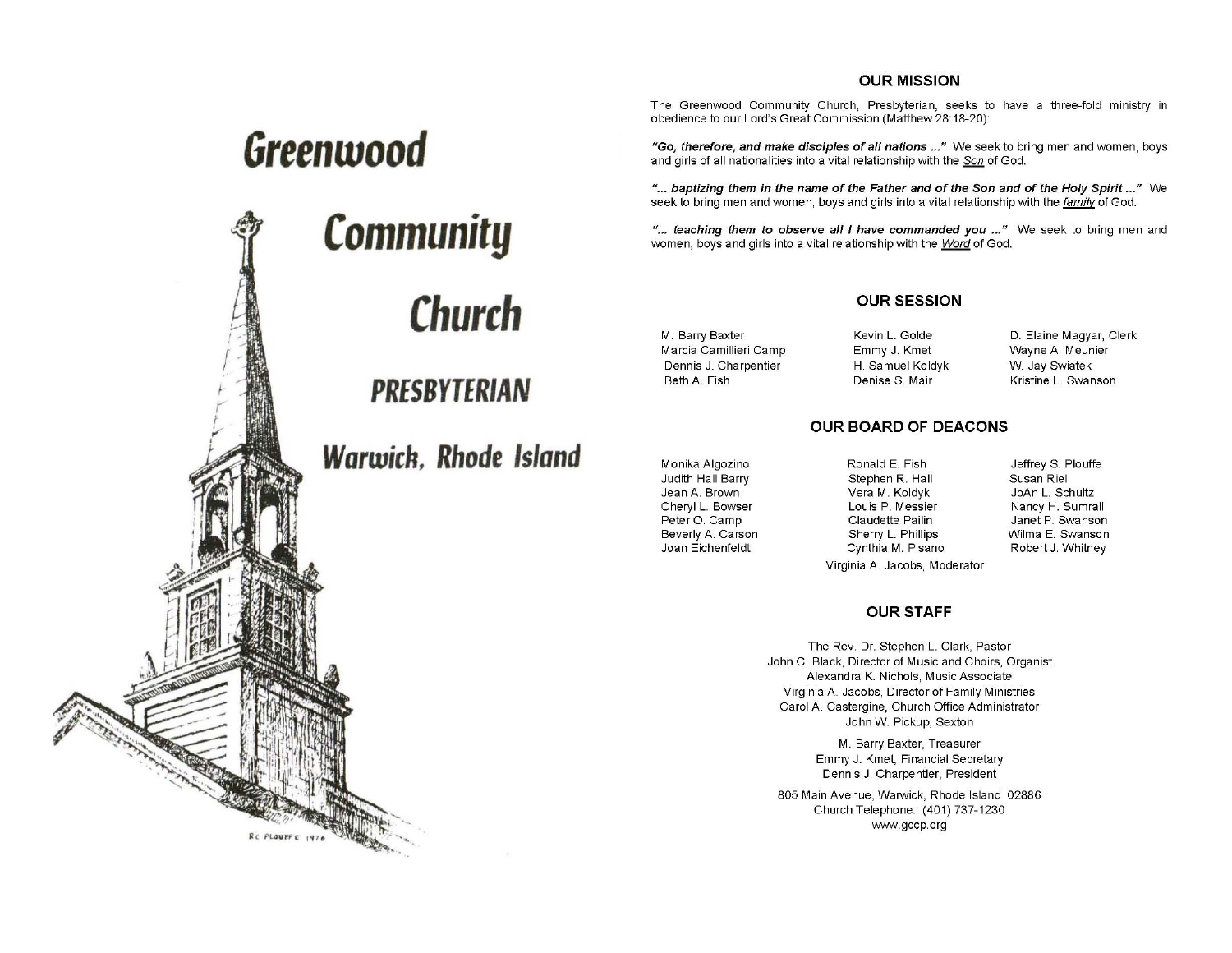### **OUR MISSION**

The Greenwood Community Church, Presbyterian, seeks to have a three-fold ministry in obedience to our Lord's Great Commission (Matthew 28:18-20):

"Go, therefore, and make disciples of all nations ..." We seek to bring men and women, boys and girls of all nationalities into a vital relationship with the Son of God.

"... baptizing them in the name of the Father and of the Son and of the Holy Spirit ..." We seek to bring men and women, boys and girls into a vital relationship with the family of God.

"... teaching them to observe all I have commanded you ..." We seek to bring men and women, boys and girls into a vital relationship with the Word of God.

### **OUR SESSION**

M. Barry Baxter Marcia Camillieri Camp Dennis J. Charpentier Beth A. Fish

Kevin L. Golde Emmy J. Kmet H. Samuel Koldyk Denise S. Mair

D. Elaine Magyar, Clerk Wayne A. Meunier W. Jay Swiatek Kristine L. Swanson

### **OUR BOARD OF DEACONS**

Monika Algozino Judith Hall Barry Jean A. Brown Cheryl L. Bowser Peter O. Camp Beverly A. Carson Joan Eichenfeldt

Ronald E. Fish Stephen R. Hall Vera M. Koldyk Louis P. Messier Claudette Pailin Sherry L. Phillips Cynthia M. Pisano

Jeffrey S. Plouffe Susan Riel JoAn L. Schultz Nancy H. Sumrall Janet P. Swanson Wilma E. Swanson Robert J. Whitney

Virginia A. Jacobs, Moderator

### **OUR STAFF**

The Rev. Dr. Stephen L. Clark, Pastor John C. Black, Director of Music and Choirs, Organist Alexandra K. Nichols, Music Associate Virginia A. Jacobs, Director of Family Ministries Carol A. Castergine, Church Office Administrator John W. Pickup, Sexton

> M. Barry Baxter, Treasurer Emmy J. Kmet, Financial Secretary Dennis J. Charpentier, President

805 Main Avenue, Warwick, Rhode Island 02886 Church Telephone: (401) 737-1230 www.gccp.org

# Greenwood

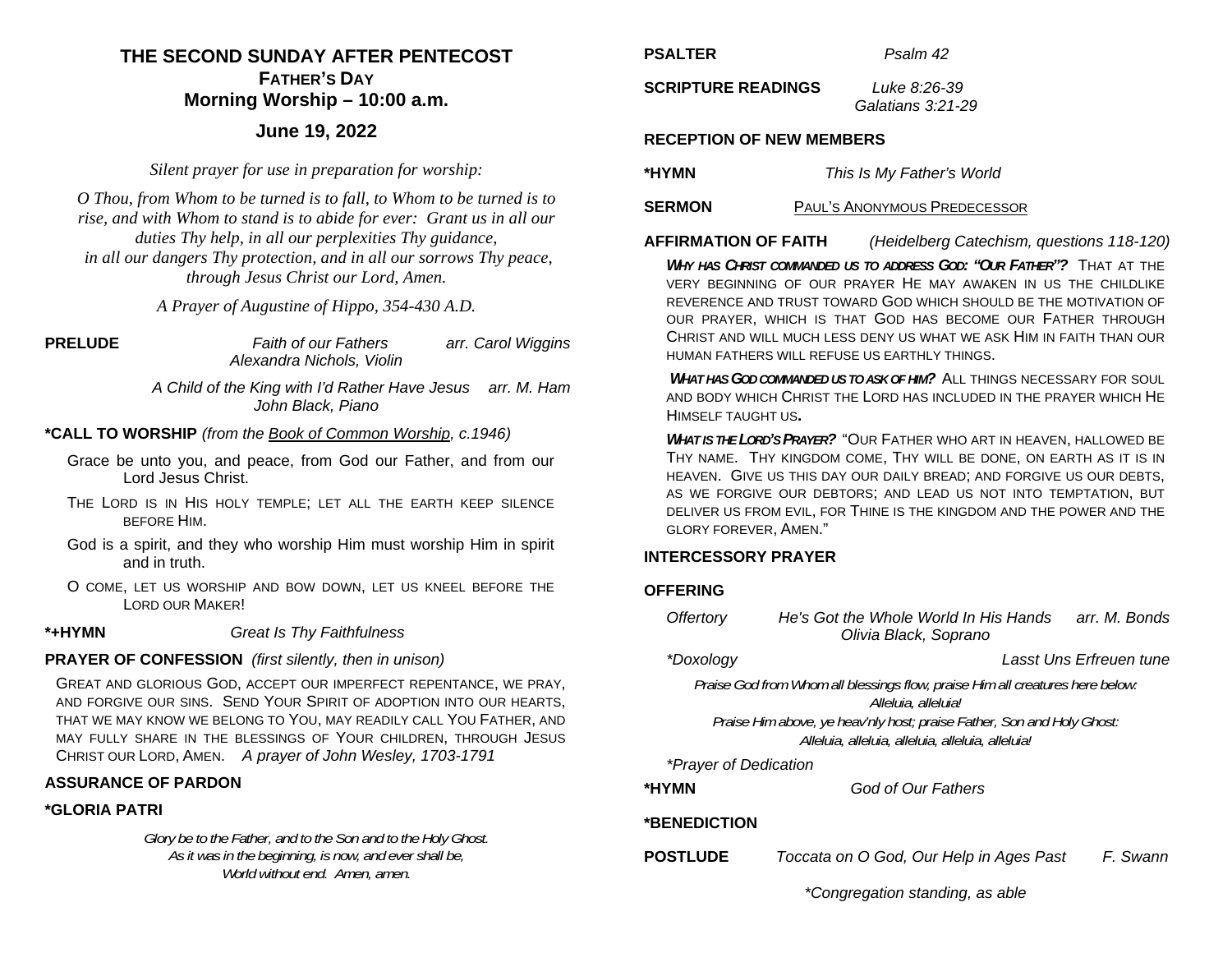### **THE SECOND SUNDAY AFTER PENTECOST FATHER'S DAYMorning Worship – 10:00 a.m.**

### **June 19, 2022**

*Silent prayer for use in preparation for worship:* 

*O Thou, from Whom to be turned is to fall, to Whom to be turned is to rise, and with Whom to stand is to abide for ever: Grant us in all our duties Thy help, in all our perplexities Thy guidance, in all our dangers Thy protection, and in all our sorrows Thy peace, through Jesus Christ our Lord, Amen.* 

*A Prayer of Augustine of Hippo, 354-430 A.D.* 

**PRELUDE** *Faith of our Fathers arr. Carol Wiggins Alexandra Nichols, Violin* 

> *A Child of the King with I'd Rather Have Jesus arr. M. Ham John Black, Piano*

### **\*CALL TO WORSHIP** *(from the Book of Common Worship, c.1946)*

- Grace be unto you, and peace, from God our Father, and from our Lord Jesus Christ.
- THE LORD IS IN HIS HOLY TEMPLE; LET ALL THE EARTH KEEP SILENCE BEFORE HIM.
- God is a spirit, and they who worship Him must worship Him in spirit and in truth.
- O COME, LET US WORSHIP AND BOW DOWN, LET US KNEEL BEFORE THE LORD OUR MAKER!
- **\*+HYMN**

### *Great Is Thy Faithfulness*

### **PRAYER OF CONFESSION** *(first silently, then in unison)*

GREAT AND GLORIOUS GOD, ACCEPT OUR IMPERFECT REPENTANCE, WE PRAY, AND FORGIVE OUR SINS. SEND YOUR SPIRIT OF ADOPTION INTO OUR HEARTS, that we may know we belong to You, may readily call You Father, and MAY FULLY SHARE IN THE BLESSINGS OF YOUR CHILDREN, THROUGH JESUS CHRIST OUR LORD, AMEN. *A prayer of John Wesley, 1703-1791*

### **ASSURANCE OF PARDON**

### **\*GLORIA PATRI**

*Glory be to the Father, and to the Son and to the Holy Ghost. As it was in the beginning, is now, and ever shall be, World without end. Amen, amen.* 

**PSALTER** *Psalm 42*

**SCRIPTURE READINGS** *Luke 8:26-39 Galatians 3:21-29* 

### **RECEPTION OF NEW MEMBERS**

**\*HYMN** *This Is My Father's World* 

**SERMON**PAUL'S ANONYMOUS PREDECESSOR

**AFFIRMATION OF FAITH** *(Heidelberg Catechism, questions 118-120)* 

*WHY HAS CHRIST COMMANDED US TO ADDRESS GOD: "OUR FATHER"?*THAT AT THE VERY BEGINNING OF OUR PRAYER HE MAY AWAKEN IN US THE CHILDLIKE REVERENCE AND TRUST TOWARD GOD WHICH SHOULD BE THE MOTIVATION OF OUR PRAYER, WHICH IS THAT GOD HAS BECOME OUR FATHER THROUGH CHRIST AND WILL MUCH LESS DENY US WHAT WE ASK HIM IN FAITH THAN OUR HUMAN FATHERS WILL REFUSE US EARTHLY THINGS.

*WHAT HAS GOD COMMANDED US TO ASK OF HIM?*ALL THINGS NECESSARY FOR SOUL AND BODY WHICH CHRIST THE LORD HAS INCLUDED IN THE PRAYER WHICH HE HIMSELF TAUGHT US**.**

WHAT IS THE LORD'S PRAYER? "OUR FATHER WHO ART IN HEAVEN, HALLOWED BE THY NAME. THY KINGDOM COME, THY WILL BE DONE, ON EARTH AS IT IS IN HEAVEN. GIVE US THIS DAY OUR DAILY BREAD; AND FORGIVE US OUR DEBTS, AS WE FORGIVE OUR DEBTORS; AND LEAD US NOT INTO TEMPTATION, BUT DELIVER US FROM EVIL, FOR THINE IS THE KINGDOM AND THE POWER AND THE GLORY FOREVER, AMEN."

### **INTERCESSORY PRAYER**

### **OFFERING**

| <b>Offertory</b>                                                                                                            | He's Got the Whole World In His Hands<br>Olivia Black, Soprano | arr. M. Bonds |
|-----------------------------------------------------------------------------------------------------------------------------|----------------------------------------------------------------|---------------|
| *Doxology                                                                                                                   | Lasst Uns Erfreuen tune                                        |               |
| Praise God from Whom all blessings flow, praise Him all creatures here below:<br>Alleluia, alleluia!                        |                                                                |               |
| Praise Him above, ye heav'nly host; praise Father, Son and Holy Ghost:<br>Alleluia, alleluia, alleluia, alleluia, alleluia! |                                                                |               |
| <i>*Prayer of Dedication</i>                                                                                                |                                                                |               |
| *HYMN                                                                                                                       | <b>God of Our Fathers</b>                                      |               |
| *BENEDICTION                                                                                                                |                                                                |               |
| <b>POSTLUDE</b>                                                                                                             | Toccata on O God, Our Help in Ages Past                        | F. Swann      |

*\*Congregation standing, as able*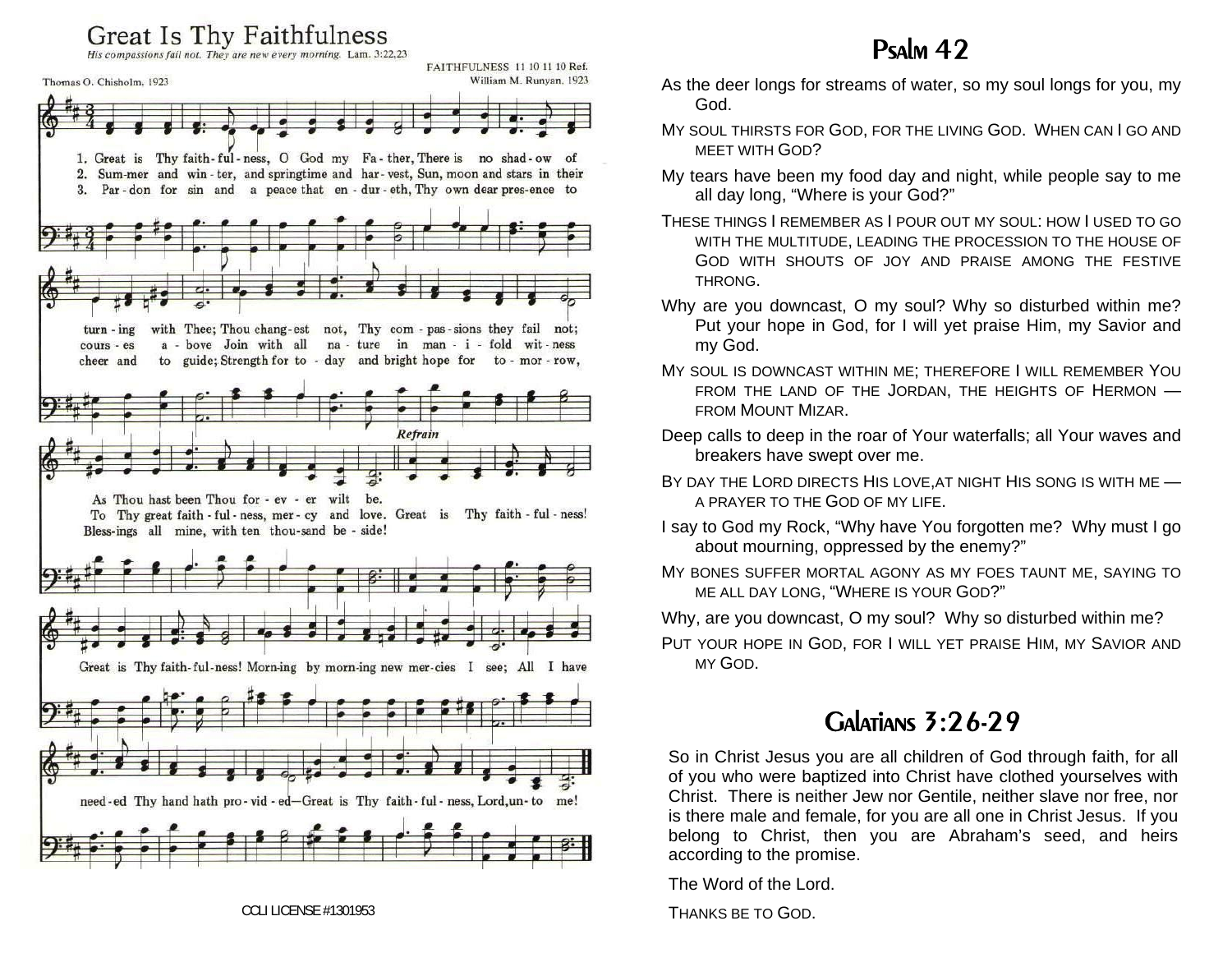## Great Is Thy Faithfulness



## Psalm 42

- As the deer longs for streams of water, so my soul longs for you, my God.
- MY SOUL THIRSTS FOR GOD, FOR THE LIVING GOD. WHEN CAN I GO AND MEET WITH GOD?
- My tears have been my food day and night, while people say to me all day long, "Where is your God?"
- THESE THINGS I REMEMBER AS I POUR OUT MY SOUL: HOW I USED TO GO WITH THE MULTITUDE, LEADING THE PROCESSION TO THE HOUSE OF GOD WITH SHOUTS OF JOY AND PRAISE AMONG THE FESTIVE THRONG.
- Why are you downcast, O my soul? Why so disturbed within me? Put your hope in God, for I will yet praise Him, my Savior and my God.
- MY SOUL IS DOWNCAST WITHIN ME; THEREFORE I WILL REMEMBER YOU FROM THE LAND OF THE JORDAN, THE HEIGHTS OF HERMON —FROM MOUNT MIZAR.
- Deep calls to deep in the roar of Your waterfalls; all Your waves and breakers have swept over me.
- BY DAY THE LORD DIRECTS HIS LOVE,AT NIGHT HIS SONG IS WITH ME A PRAYER TO THE GOD OF MY LIFE.
- I say to God my Rock, "Why have You forgotten me? Why must I go about mourning, oppressed by the enemy?"
- MY BONES SUFFER MORTAL AGONY AS MY FOES TAUNT ME, SAYING TO ME ALL DAY LONG, "WHERE IS YOUR GOD?"
- Why, are you downcast, O my soul? Why so disturbed within me?
- PUT YOUR HOPE IN GOD, FOR I WILL YET PRAISE HIM, MY SAVIOR AND MY GOD.

## Galatians 3:26-29

So in Christ Jesus you are all children of God through faith, for all of you who were baptized into Christ have clothed yourselves with Christ. There is neither Jew nor Gentile, neither slave nor free, nor is there male and female, for you are all one in Christ Jesus. If you belong to Christ, then you are Abraham's seed, and heirs according to the promise.

The Word of the Lord.

THANKS BE TO GOD.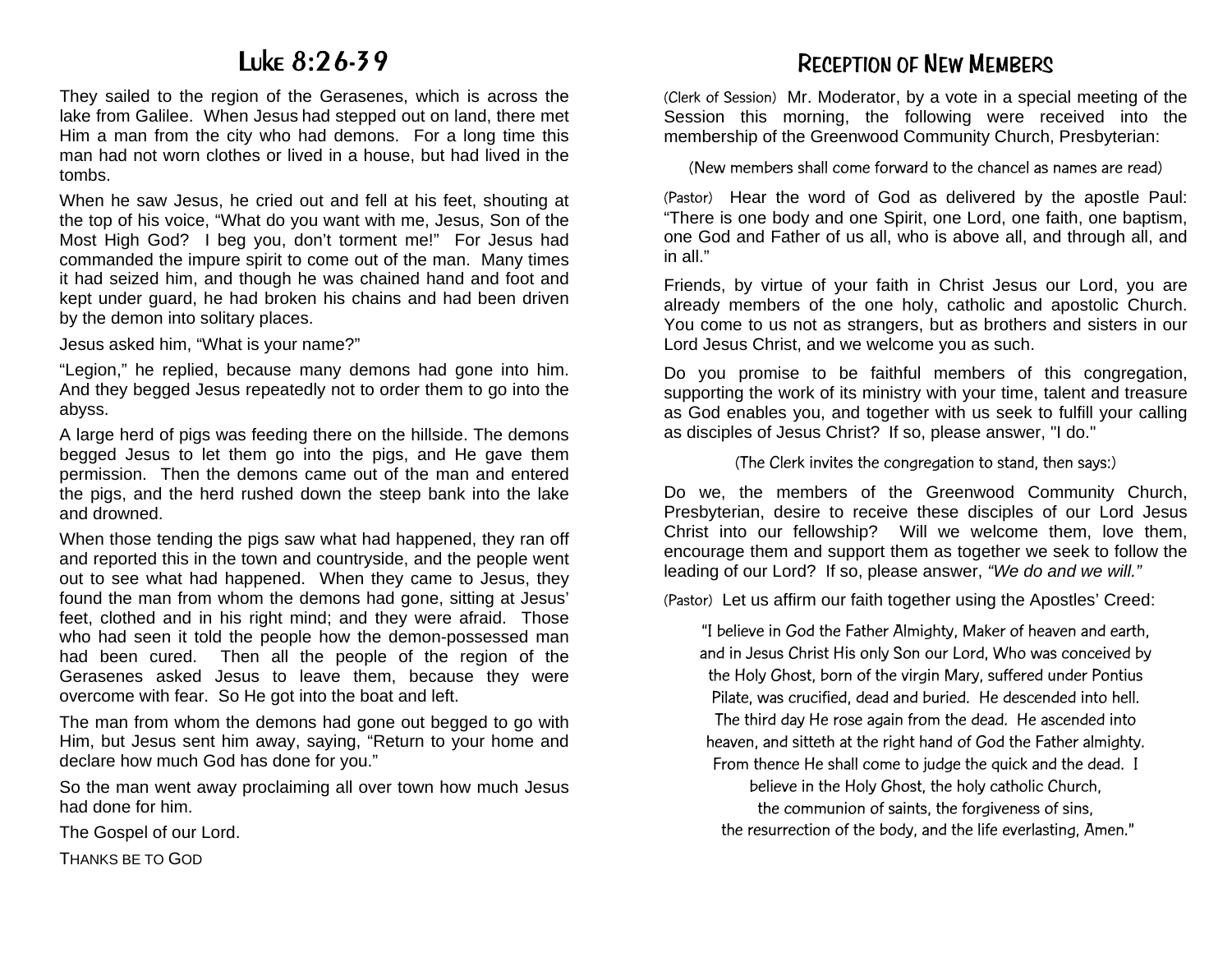## Luke 8:26-39

They sailed to the region of the Gerasenes, which is across the lake from Galilee. When Jesus had stepped out on land, there met Him a man from the city who had demons. For a long time this man had not worn clothes or lived in a house, but had lived in the tombs.

When he saw Jesus, he cried out and fell at his feet, shouting at the top of his voice, "What do you want with me, Jesus, Son of the Most High God? I beg you, don't torment me!" For Jesus had commanded the impure spirit to come out of the man. Many times it had seized him, and though he was chained hand and foot and kept under guard, he had broken his chains and had been driven by the demon into solitary places.

Jesus asked him, "What is your name?"

"Legion," he replied, because many demons had gone into him. And they begged Jesus repeatedly not to order them to go into the abyss.

A large herd of pigs was feeding there on the hillside. The demons begged Jesus to let them go into the pigs, and He gave them permission. Then the demons came out of the man and entered the pigs, and the herd rushed down the steep bank into the lake and drowned.

When those tending the pigs saw what had happened, they ran off and reported this in the town and countryside, and the people went out to see what had happened. When they came to Jesus, they found the man from whom the demons had gone, sitting at Jesus' feet, clothed and in his right mind; and they were afraid. Those who had seen it told the people how the demon-possessed man had been cured. Then all the people of the region of the Gerasenes asked Jesus to leave them, because they were overcome with fear. So He got into the boat and left.

The man from whom the demons had gone out begged to go with Him, but Jesus sent him away, saying, "Return to your home and declare how much God has done for you."

So the man went away proclaiming all over town how much Jesus had done for him.

The Gospel of our Lord.

THANKS BE TO GOD

## RECEPTION OF NEW MEMBERS

(Clerk of Session) Mr. Moderator, by a vote in a special meeting of the Session this morning, the following were received into the membership of the Greenwood Community Church, Presbyterian:

(New members shall come forward to the chancel as names are read)

(Pastor) Hear the word of God as delivered by the apostle Paul: "There is one body and one Spirit, one Lord, one faith, one baptism, one God and Father of us all, who is above all, and through all, and in all."

Friends, by virtue of your faith in Christ Jesus our Lord, you are already members of the one holy, catholic and apostolic Church. You come to us not as strangers, but as brothers and sisters in our Lord Jesus Christ, and we welcome you as such.

Do you promise to be faithful members of this congregation, supporting the work of its ministry with your time, talent and treasure as God enables you, and together with us seek to fulfill your calling as disciples of Jesus Christ? If so, please answer, "I do."

(The Clerk invites the congregation to stand, then says:)

Do we, the members of the Greenwood Community Church, Presbyterian, desire to receive these disciples of our Lord Jesus Christ into our fellowship? Will we welcome them, love them, encourage them and support them as together we seek to follow the leading of our Lord? If so, please answer, *"We do and we will."*

(Pastor) Let us affirm our faith together using the Apostles' Creed:

"I believe in God the Father Almighty, Maker of heaven and earth, and in Jesus Christ His only Son our Lord, Who was conceived by the Holy Ghost, born of the virgin Mary, suffered under Pontius Pilate, was crucified, dead and buried. He descended into hell. The third day He rose again from the dead. He ascended into heaven, and sitteth at the right hand of God the Father almighty. From thence He shall come to judge the quick and the dead. I

believe in the Holy Ghost, the holy catholic Church,

the communion of saints, the forgiveness of sins, the resurrection of the body, and the life everlasting, Amen."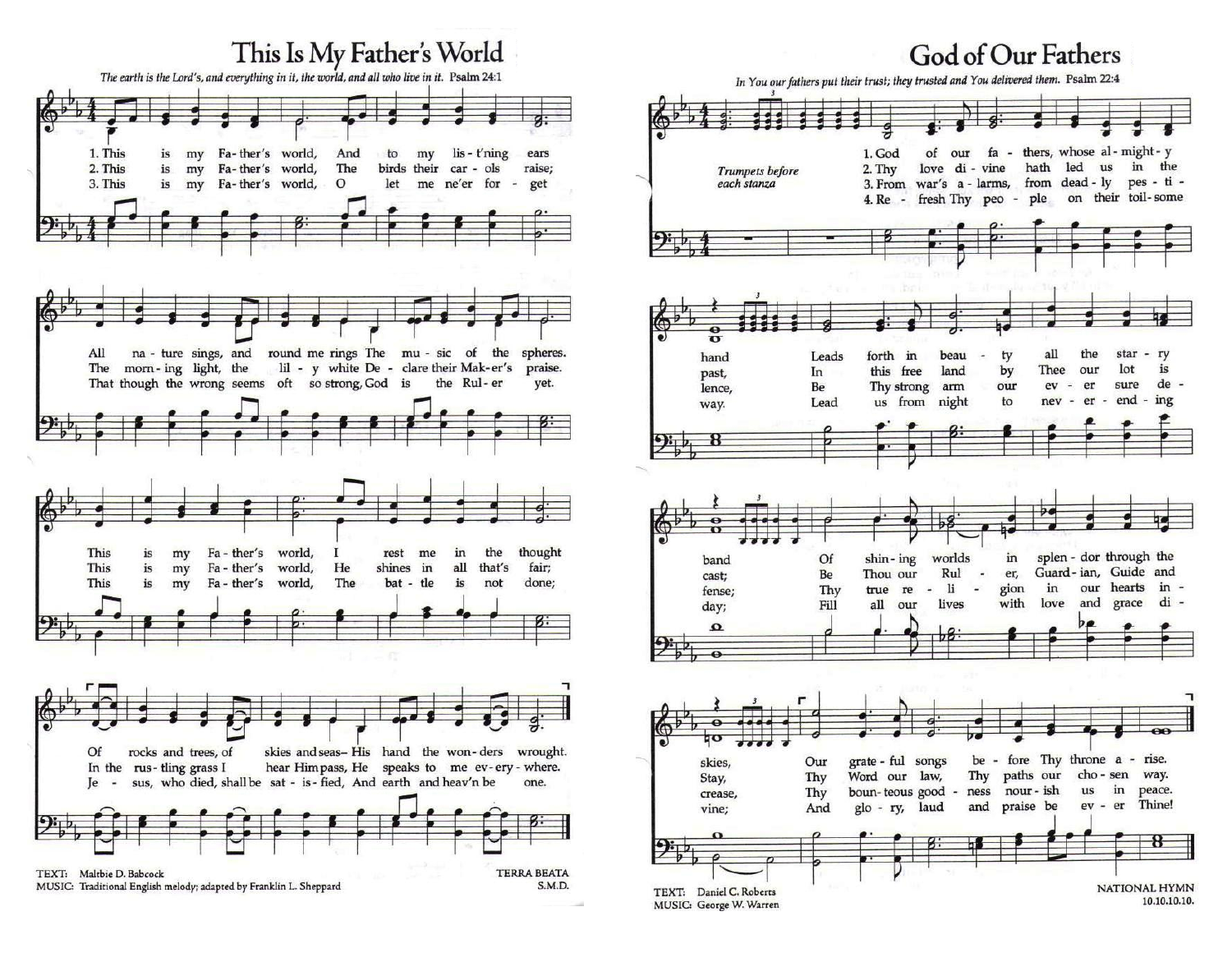



**God of Our Fathers** 

In You our fathers put their trust; they trusted and You delivered them. Psalm 22:4



NATIONAL HYMN 10.10.10.10.